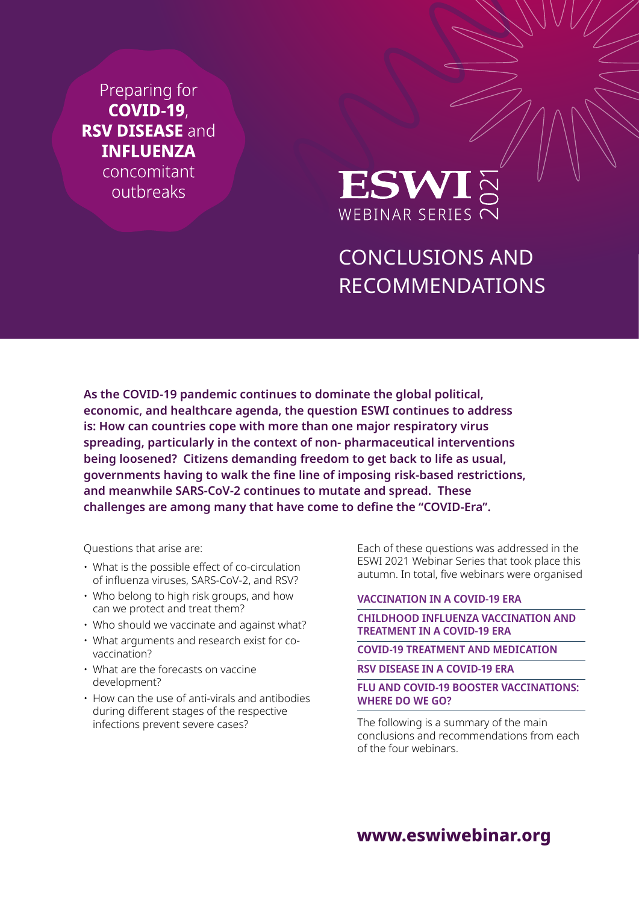Preparing for **COVID-19 RSV DISEASE and INFLUENZA** concomitant outbreaks



# CONCLUSIONS AND RECOMMENDATIONS

**As the COVID-19 pandemic continues to dominate the global political, economic, and healthcare agenda, the question ESWI continues to address is: How can countries cope with more than one major respiratory virus spreading, particularly in the context of non- pharmaceutical interventions being loosened? Citizens demanding freedom to get back to life as usual, governments having to walk the fine line of imposing risk-based restrictions, and meanwhile SARS-CoV-2 continues to mutate and spread. These challenges are among many that have come to define the "COVID-Era".** 

Questions that arise are:

- What is the possible effect of co-circulation of influenza viruses, SARS-CoV-2, and RSV?
- Who belong to high risk groups, and how can we protect and treat them?
- Who should we vaccinate and against what?
- What arguments and research exist for covaccination?
- What are the forecasts on vaccine development?
- How can the use of anti-virals and antibodies during different stages of the respective infections prevent severe cases?

Each of these questions was addressed in the ESWI 2021 Webinar Series that took place this autumn. In total, five webinars were organised

### **[VACCINATION IN A COVID-19 ERA](https://eswiwebinar.org/#takehome-4979)**

### **[CHILDHOOD INFLUENZA VACCINATION AND](https://eswiwebinar.org/#takehome-4981)  [TREATMENT IN A COVID-19 ERA](https://eswiwebinar.org/#takehome-4981)**

### **[COVID-19 TREATMENT AND MEDICATION](https://eswiwebinar.org/#takehome-4982)**

#### **[RSV DISEASE IN A COVID-19 ERA](https://eswiwebinar.org/#takehome-4983)**

### **[FLU AND COVID-19 BOOSTER VACCINATIONS:](https://eswiwebinar.org/#takehome-7457)  [WHERE DO WE GO?](https://eswiwebinar.org/#takehome-7457)**

The following is a summary of the main conclusions and recommendations from each of the four webinars.

**[www.eswiwebinar.org](http://www.eswiwebinar.org)**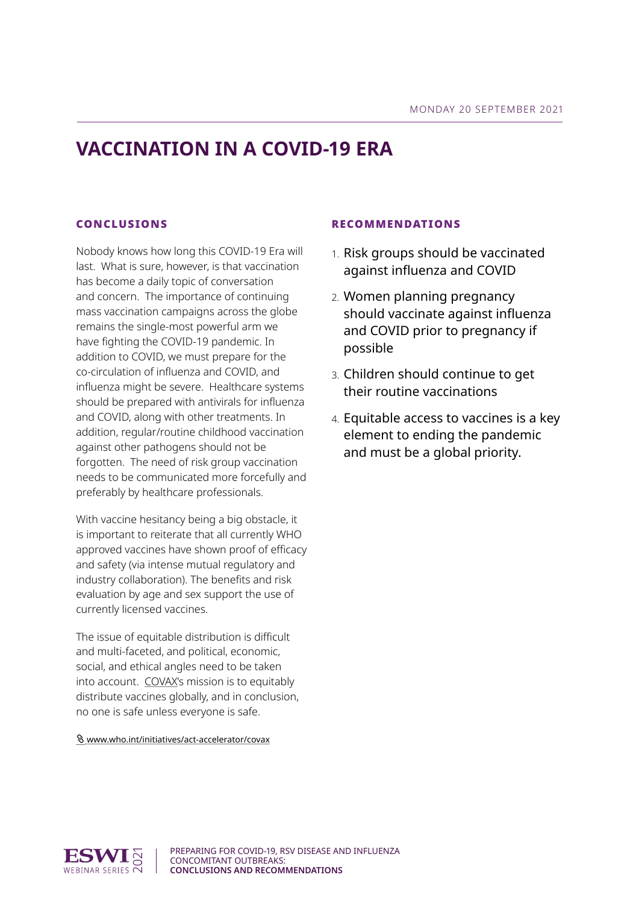## **VACCINATION IN A COVID-19 ERA**

### CONCLUSIONS

Nobody knows how long this COVID-19 Era will last. What is sure, however, is that vaccination has become a daily topic of conversation and concern. The importance of continuing mass vaccination campaigns across the globe remains the single-most powerful arm we have fighting the COVID-19 pandemic. In addition to COVID, we must prepare for the co-circulation of influenza and COVID, and influenza might be severe. Healthcare systems should be prepared with antivirals for influenza and COVID, along with other treatments. In addition, regular/routine childhood vaccination against other pathogens should not be forgotten. The need of risk group vaccination needs to be communicated more forcefully and preferably by healthcare professionals.

With vaccine hesitancy being a big obstacle, it is important to reiterate that all currently WHO approved vaccines have shown proof of efficacy and safety (via intense mutual regulatory and industry collaboration). The benefits and risk evaluation by age and sex support the use of currently licensed vaccines.

The issue of equitable distribution is difficult and multi-faceted, and political, economic, social, and ethical angles need to be taken into account. COVAX's mission is to equitably distribute vaccines globally, and in conclusion, no one is safe unless everyone is safe.

[www.who.int/initiatives/act-accelerator/covax](https://www.who.int/initiatives/act-accelerator/covax)

- 1. Risk groups should be vaccinated against influenza and COVID
- 2. Women planning pregnancy should vaccinate against influenza and COVID prior to pregnancy if possible
- 3. Children should continue to get their routine vaccinations
- 4. Equitable access to vaccines is a key element to ending the pandemic and must be a global priority.

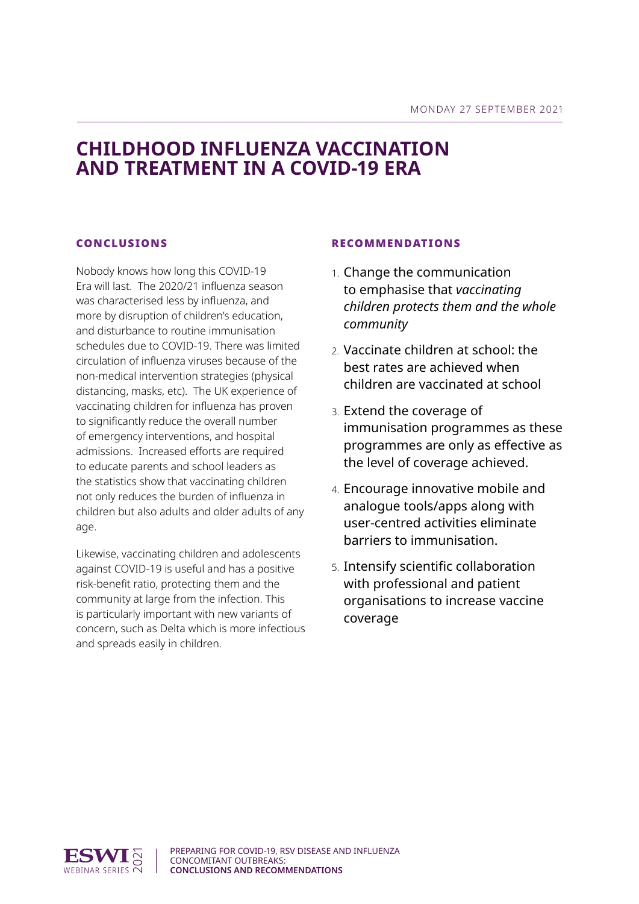### **CHILDHOOD INFLUENZA VACCINATION AND TREATMENT IN A COVID-19 ERA**

### CONCLUSIONS

Nobody knows how long this COVID-19 Era will last. The 2020/21 influenza season was characterised less by influenza, and more by disruption of children's education, and disturbance to routine immunisation schedules due to COVID-19. There was limited circulation of influenza viruses because of the non-medical intervention strategies (physical distancing, masks, etc). The UK experience of vaccinating children for influenza has proven to significantly reduce the overall number of emergency interventions, and hospital admissions. Increased efforts are required to educate parents and school leaders as the statistics show that vaccinating children not only reduces the burden of influenza in children but also adults and older adults of any age.

Likewise, vaccinating children and adolescents against COVID-19 is useful and has a positive risk-benefit ratio, protecting them and the community at large from the infection. This is particularly important with new variants of concern, such as Delta which is more infectious and spreads easily in children.

- 1. Change the communication to emphasise that *vaccinating children protects them and the whole community*
- 2. Vaccinate children at school: the best rates are achieved when children are vaccinated at school
- 3. Extend the coverage of immunisation programmes as these programmes are only as effective as the level of coverage achieved.
- 4. Encourage innovative mobile and analogue tools/apps along with user-centred activities eliminate barriers to immunisation.
- 5. Intensify scientific collaboration with professional and patient organisations to increase vaccine coverage

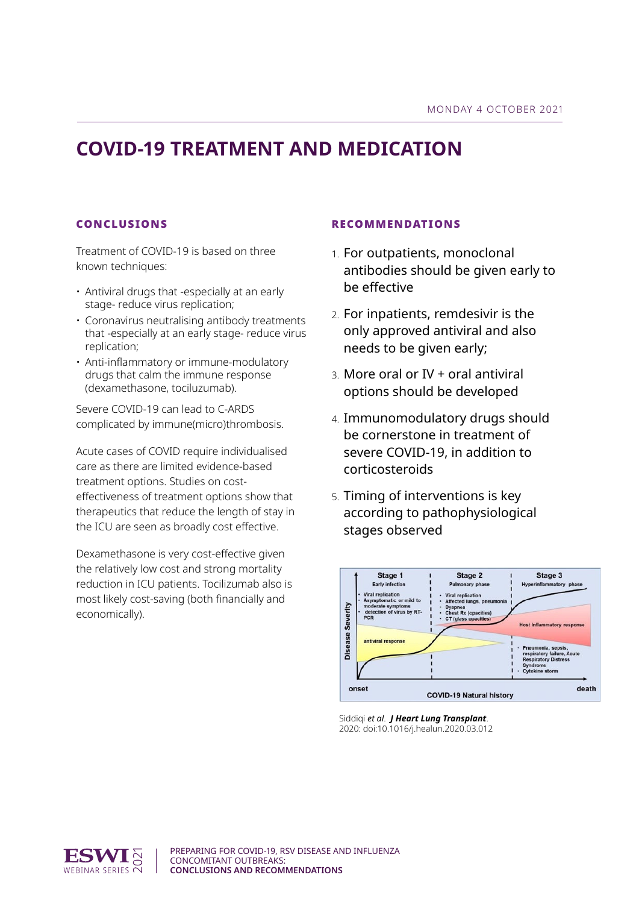## **COVID-19 TREATMENT AND MEDICATION**

### CONCLUSIONS

Treatment of COVID-19 is based on three known techniques:

- Antiviral drugs that -especially at an early stage- reduce virus replication;
- Coronavirus neutralising antibody treatments that -especially at an early stage- reduce virus replication;
- Anti-inflammatory or immune-modulatory drugs that calm the immune response (dexamethasone, tociluzumab).

Severe COVID-19 can lead to C-ARDS complicated by immune(micro)thrombosis.

Acute cases of COVID require individualised care as there are limited evidence-based treatment options. Studies on costeffectiveness of treatment options show that therapeutics that reduce the length of stay in the ICU are seen as broadly cost effective.

Dexamethasone is very cost-effective given the relatively low cost and strong mortality reduction in ICU patients. Tocilizumab also is most likely cost-saving (both financially and economically).

- 1. For outpatients, monoclonal antibodies should be given early to be effective
- 2. For inpatients, remdesivir is the only approved antiviral and also needs to be given early;
- 3. More oral or IV + oral antiviral options should be developed
- 4. Immunomodulatory drugs should be cornerstone in treatment of severe COVID-19, in addition to corticosteroids
- 5. Timing of interventions is key according to pathophysiological stages observed



Siddiqi *et al*. *J Heart Lung Transplant*. 2020: doi:10.1016/j.healun.2020.03.012

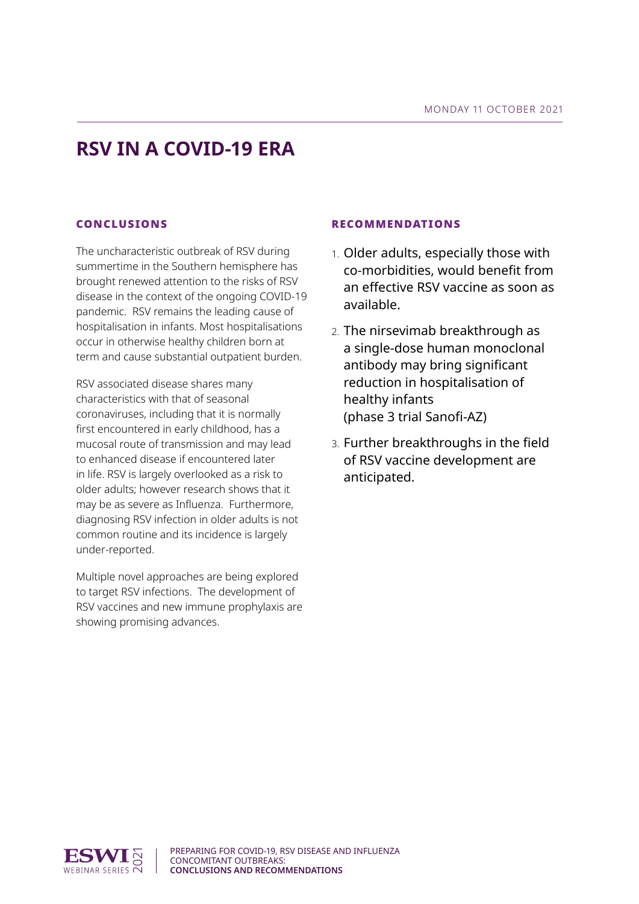## **RSV IN A COVID-19 ERA**

### CONCLUSIONS

The uncharacteristic outbreak of RSV during summertime in the Southern hemisphere has brought renewed attention to the risks of RSV disease in the context of the ongoing COVID-19 pandemic. RSV remains the leading cause of hospitalisation in infants. Most hospitalisations occur in otherwise healthy children born at term and cause substantial outpatient burden.

RSV associated disease shares many characteristics with that of seasonal coronaviruses, including that it is normally first encountered in early childhood, has a mucosal route of transmission and may lead to enhanced disease if encountered later in life. RSV is largely overlooked as a risk to older adults; however research shows that it may be as severe as Influenza. Furthermore, diagnosing RSV infection in older adults is not common routine and its incidence is largely under-reported.

Multiple novel approaches are being explored to target RSV infections. The development of RSV vaccines and new immune prophylaxis are showing promising advances.

- 1. Older adults, especially those with co-morbidities, would benefit from an effective RSV vaccine as soon as available.
- 2. The nirsevimab breakthrough as a single-dose human monoclonal antibody may bring significant reduction in hospitalisation of healthy infants (phase 3 trial Sanofi-AZ)
- 3. Further breakthroughs in the field of RSV vaccine development are anticipated.

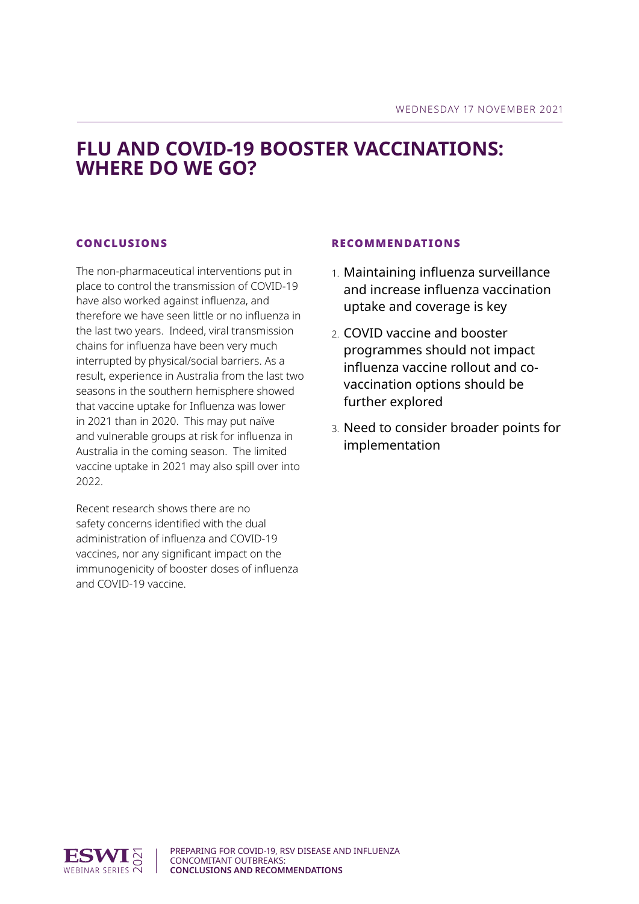### **FLU AND COVID-19 BOOSTER VACCINATIONS: WHERE DO WE GO?**

### CONCLUSIONS

The non-pharmaceutical interventions put in place to control the transmission of COVID-19 have also worked against influenza, and therefore we have seen little or no influenza in the last two years. Indeed, viral transmission chains for influenza have been very much interrupted by physical/social barriers. As a result, experience in Australia from the last two seasons in the southern hemisphere showed that vaccine uptake for Influenza was lower in 2021 than in 2020. This may put naïve and vulnerable groups at risk for influenza in Australia in the coming season. The limited vaccine uptake in 2021 may also spill over into 2022.

Recent research shows there are no safety concerns identified with the dual administration of influenza and COVID-19 vaccines, nor any significant impact on the immunogenicity of booster doses of influenza and COVID-19 vaccine.

- 1. Maintaining influenza surveillance and increase influenza vaccination uptake and coverage is key
- 2. COVID vaccine and booster programmes should not impact influenza vaccine rollout and covaccination options should be further explored
- 3. Need to consider broader points for implementation